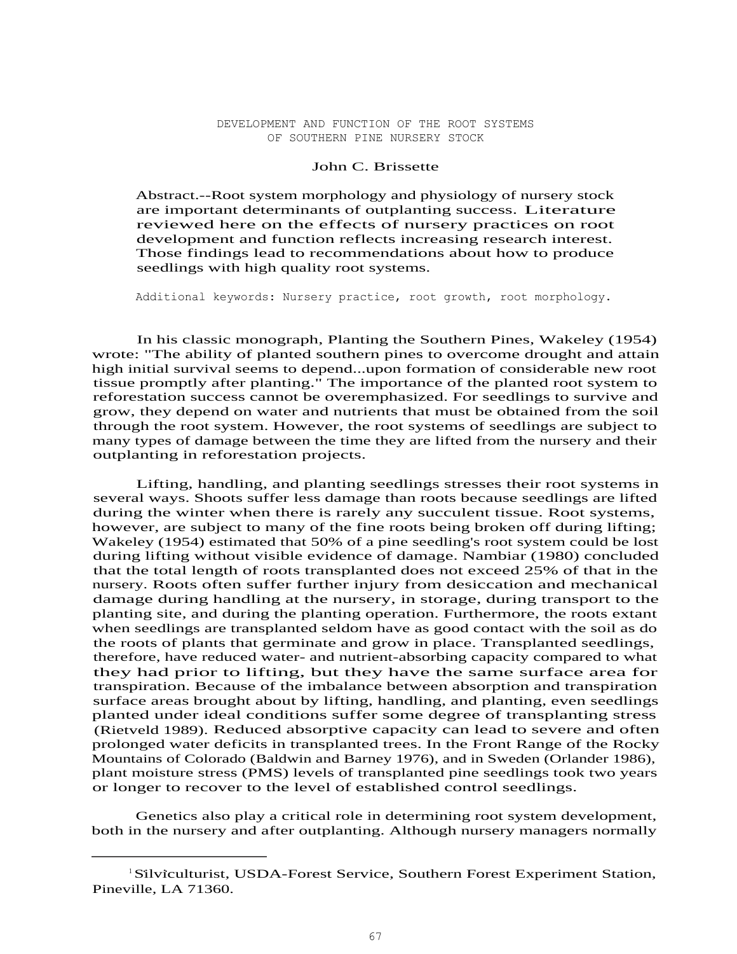#### DEVELOPMENT AND FUNCTION OF THE ROOT SYSTEMS OF SOUTHERN PINE NURSERY STOCK

## John C. Brissette

Abstract.--Root system morphology and physiology of nursery stock are important determinants of outplanting success. Literature reviewed here on the effects of nursery practices on root development and function reflects increasing research interest. Those findings lead to recommendations about how to produce seedlings with high quality root systems.

Additional keywords: Nursery practice, root growth, root morphology.

In his classic monograph, Planting the Southern Pines, Wakeley (1954) wrote: "The ability of planted southern pines to overcome drought and attain high initial survival seems to depend...upon formation of considerable new root tissue promptly after planting." The importance of the planted root system to reforestation success cannot be overemphasized. For seedlings to survive and grow, they depend on water and nutrients that must be obtained from the soil through the root system. However, the root systems of seedlings are subject to many types of damage between the time they are lifted from the nursery and their outplanting in reforestation projects.

Lifting, handling, and planting seedlings stresses their root systems in several ways. Shoots suffer less damage than roots because seedlings are lifted during the winter when there is rarely any succulent tissue. Root systems, however, are subject to many of the fine roots being broken off during lifting; Wakeley (1954) estimated that 50% of a pine seedling's root system could be lost during lifting without visible evidence of damage. Nambiar (1980) concluded that the total length of roots transplanted does not exceed 25% of that in the nursery. Roots often suffer further injury from desiccation and mechanical damage during handling at the nursery, in storage, during transport to the planting site, and during the planting operation. Furthermore, the roots extant when seedlings are transplanted seldom have as good contact with the soil as do the roots of plants that germinate and grow in place. Transplanted seedlings, therefore, have reduced water- and nutrient-absorbing capacity compared to what they had prior to lifting, but they have the same surface area for transpiration. Because of the imbalance between absorption and transpiration surface areas brought about by lifting, handling, and planting, even seedlings planted under ideal conditions suffer some degree of transplanting stress (Rietveld 1989). Reduced absorptive capacity can lead to severe and often prolonged water deficits in transplanted trees. In the Front Range of the Rocky Mountains of Colorado (Baldwin and Barney 1976), and in Sweden (Orlander 1986), plant moisture stress (PMS) levels of transplanted pine seedlings took two years or longer to recover to the level of established control seedlings.

Genetics also play a critical role in determining root system development, both in the nursery and after outplanting. Although nursery managers normally

<sup>&</sup>lt;sup>1</sup>Silviculturist, USDA-Forest Service, Southern Forest Experiment Station, Pineville, LA 71360.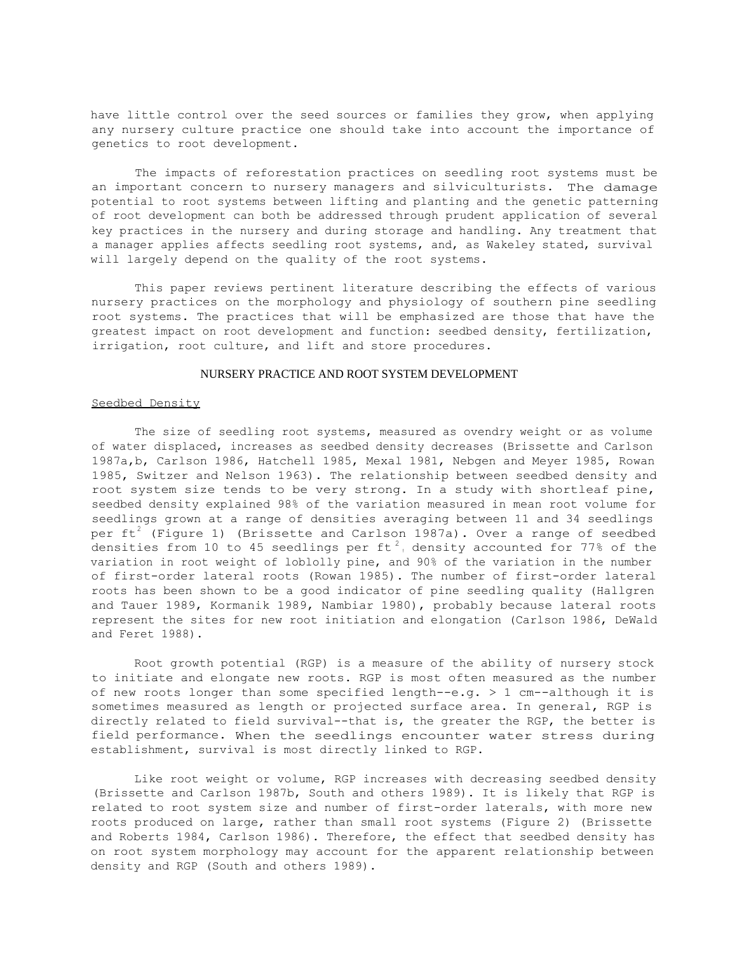have little control over the seed sources or families they grow, when applying any nursery culture practice one should take into account the importance of genetics to root development.

The impacts of reforestation practices on seedling root systems must be an important concern to nursery managers and silviculturists. The damage potential to root systems between lifting and planting and the genetic patterning of root development can both be addressed through prudent application of several key practices in the nursery and during storage and handling. Any treatment that a manager applies affects seedling root systems, and, as Wakeley stated, survival will largely depend on the quality of the root systems.

This paper reviews pertinent literature describing the effects of various nursery practices on the morphology and physiology of southern pine seedling root systems. The practices that will be emphasized are those that have the greatest impact on root development and function: seedbed density, fertilization, irrigation, root culture, and lift and store procedures.

#### NURSERY PRACTICE AND ROOT SYSTEM DEVELOPMENT

#### Seedbed Density

The size of seedling root systems, measured as ovendry weight or as volume of water displaced, increases as seedbed density decreases (Brissette and Carlson 1987a,b, Carlson 1986, Hatchell 1985, Mexal 1981, Nebgen and Meyer 1985, Rowan 1985, Switzer and Nelson 1963). The relationship between seedbed density and root system size tends to be very strong. In a study with shortleaf pine, seedbed density explained 98% of the variation measured in mean root volume for seedlings grown at a range of densities averaging between 11 and 34 seedlings per ft<sup>2</sup> (Figure 1) (Brissette and Carlson 1987a). Over a range of seedbed densities from 10 to 45 seedlings per ft<sup>2</sup>, density accounted for 77% of the variation in root weight of loblolly pine, and 90% of the variation in the number of first-order lateral roots (Rowan 1985). The number of first-order lateral roots has been shown to be a good indicator of pine seedling quality (Hallgren and Tauer 1989, Kormanik 1989, Nambiar 1980), probably because lateral roots represent the sites for new root initiation and elongation (Carlson 1986, DeWald and Feret 1988).

Root growth potential (RGP) is a measure of the ability of nursery stock to initiate and elongate new roots. RGP is most often measured as the number of new roots longer than some specified length--e.g.  $> 1$  cm--although it is sometimes measured as length or projected surface area. In general, RGP is directly related to field survival--that is, the greater the RGP, the better is field performance. When the seedlings encounter water stress during establishment, survival is most directly linked to RGP.

Like root weight or volume, RGP increases with decreasing seedbed density (Brissette and Carlson 1987b, South and others 1989). It is likely that RGP is related to root system size and number of first-order laterals, with more new roots produced on large, rather than small root systems (Figure 2) (Brissette and Roberts 1984, Carlson 1986). Therefore, the effect that seedbed density has on root system morphology may account for the apparent relationship between density and RGP (South and others 1989).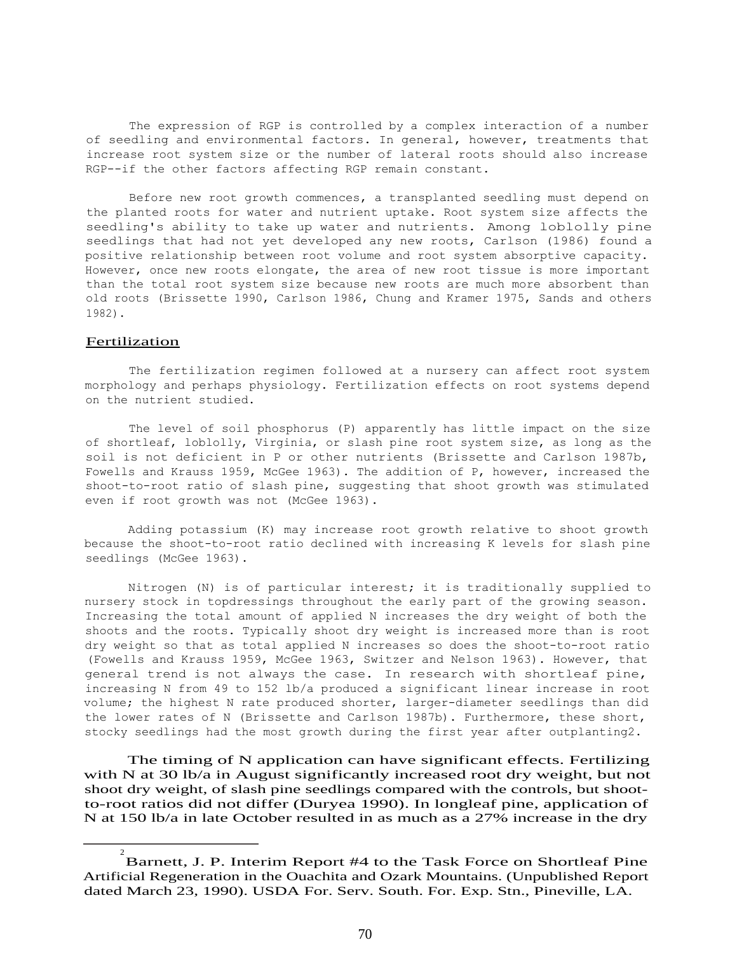The expression of RGP is controlled by a complex interaction of a number of seedling and environmental factors. In general, however, treatments that increase root system size or the number of lateral roots should also increase RGP--if the other factors affecting RGP remain constant.

Before new root growth commences, a transplanted seedling must depend on the planted roots for water and nutrient uptake. Root system size affects the seedling's ability to take up water and nutrients. Among loblolly pine seedlings that had not yet developed any new roots, Carlson (1986) found a positive relationship between root volume and root system absorptive capacity. However, once new roots elongate, the area of new root tissue is more important than the total root system size because new roots are much more absorbent than old roots (Brissette 1990, Carlson 1986, Chung and Kramer 1975, Sands and others 1982).

### **Fertilization**

The fertilization regimen followed at a nursery can affect root system morphology and perhaps physiology. Fertilization effects on root systems depend on the nutrient studied.

The level of soil phosphorus (P) apparently has little impact on the size of shortleaf, loblolly, Virginia, or slash pine root system size, as long as the soil is not deficient in P or other nutrients (Brissette and Carlson 1987b, Fowells and Krauss 1959, McGee 1963). The addition of P, however, increased the shoot-to-root ratio of slash pine, suggesting that shoot growth was stimulated even if root growth was not (McGee 1963).

Adding potassium (K) may increase root growth relative to shoot growth because the shoot-to-root ratio declined with increasing K levels for slash pine seedlings (McGee 1963).

Nitrogen (N) is of particular interest; it is traditionally supplied to nursery stock in topdressings throughout the early part of the growing season. Increasing the total amount of applied N increases the dry weight of both the shoots and the roots. Typically shoot dry weight is increased more than is root dry weight so that as total applied N increases so does the shoot-to-root ratio (Fowells and Krauss 1959, McGee 1963, Switzer and Nelson 1963). However, that general trend is not always the case. In research with shortleaf pine, increasing N from 49 to 152 lb/a produced a significant linear increase in root volume; the highest N rate produced shorter, larger-diameter seedlings than did the lower rates of N (Brissette and Carlson 1987b). Furthermore, these short, stocky seedlings had the most growth during the first year after outplanting2.

The timing of N application can have significant effects. Fertilizing with N at 30 lb/a in August significantly increased root dry weight, but not shoot dry weight, of slash pine seedlings compared with the controls, but shootto-root ratios did not differ (Duryea 1990). In longleaf pine, application of N at 150 lb/a in late October resulted in as much as a 27% increase in the dry

<sup>2</sup> Barnett, J. P. Interim Report #4 to the Task Force on Shortleaf Pine Artificial Regeneration in the Ouachita and Ozark Mountains. (Unpublished Report dated March 23, 1990). USDA For. Serv. South. For. Exp. Stn., Pineville, LA.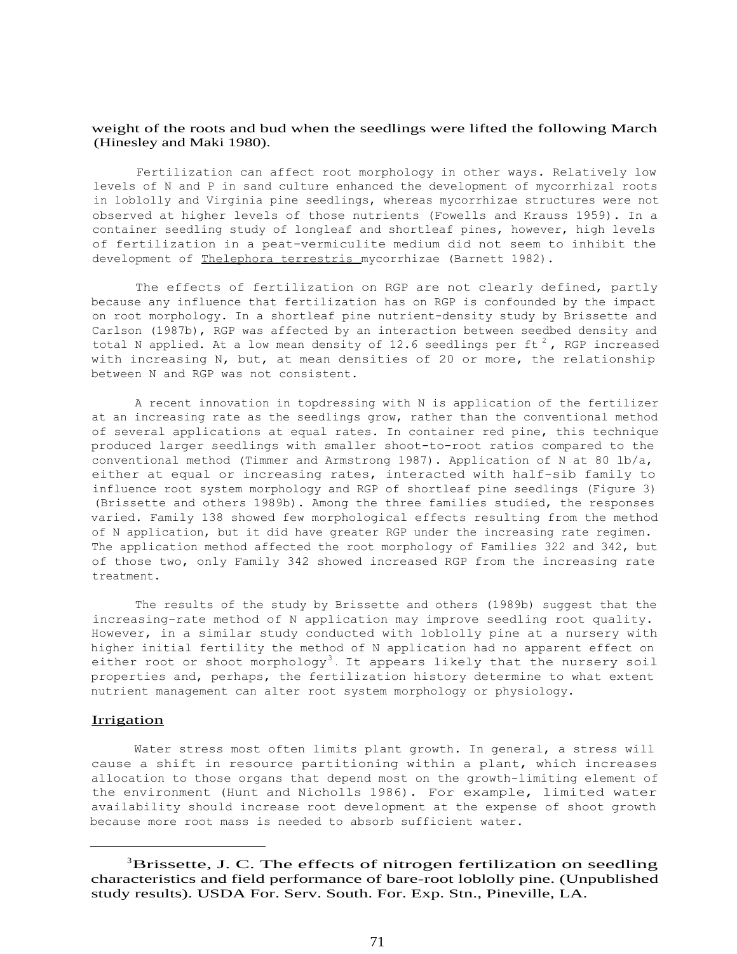## weight of the roots and bud when the seedlings were lifted the following March (Hinesley and Maki 1980).

Fertilization can affect root morphology in other ways. Relatively low levels of N and P in sand culture enhanced the development of mycorrhizal roots in loblolly and Virginia pine seedlings, whereas mycorrhizae structures were not observed at higher levels of those nutrients (Fowells and Krauss 1959). In a container seedling study of longleaf and shortleaf pines, however, high levels of fertilization in a peat-vermiculite medium did not seem to inhibit the development of Thelephora terrestris mycorrhizae (Barnett 1982).

The effects of fertilization on RGP are not clearly defined, partly because any influence that fertilization has on RGP is confounded by the impact on root morphology. In a shortleaf pine nutrient-density study by Brissette and Carlson (1987b), RGP was affected by an interaction between seedbed density and total N applied. At a low mean density of 12.6 seedlings per ft<sup>2</sup>, RGP increased with increasing N, but, at mean densities of 20 or more, the relationship between N and RGP was not consistent.

A recent innovation in topdressing with N is application of the fertilizer at an increasing rate as the seedlings grow, rather than the conventional method of several applications at equal rates. In container red pine, this technique produced larger seedlings with smaller shoot-to-root ratios compared to the conventional method (Timmer and Armstrong 1987). Application of N at 80 lb/a, either at equal or increasing rates, interacted with half-sib family to influence root system morphology and RGP of shortleaf pine seedlings (Figure 3) (Brissette and others 1989b). Among the three families studied, the responses varied. Family 138 showed few morphological effects resulting from the method of N application, but it did have greater RGP under the increasing rate regimen. The application method affected the root morphology of Families 322 and 342, but of those two, only Family 342 showed increased RGP from the increasing rate treatment.

The results of the study by Brissette and others (1989b) suggest that the increasing-rate method of N application may improve seedling root quality. However, in a similar study conducted with loblolly pine at a nursery with higher initial fertility the method of N application had no apparent effect on either root or shoot morphology<sup>3</sup>. It appears likely that the nursery soil properties and, perhaps, the fertilization history determine to what extent nutrient management can alter root system morphology or physiology.

### **Irrigation**

Water stress most often limits plant growth. In general, a stress will cause a shift in resource partitioning within a plant, which increases allocation to those organs that depend most on the growth-limiting element of the environment (Hunt and Nicholls 1986). For example, limited water availability should increase root development at the expense of shoot growth because more root mass is needed to absorb sufficient water.

<sup>&</sup>lt;sup>3</sup>Brissette, J. C. The effects of nitrogen fertilization on seedling characteristics and field performance of bare-root loblolly pine. (Unpublished study results). USDA For. Serv. South. For. Exp. Stn., Pineville, LA.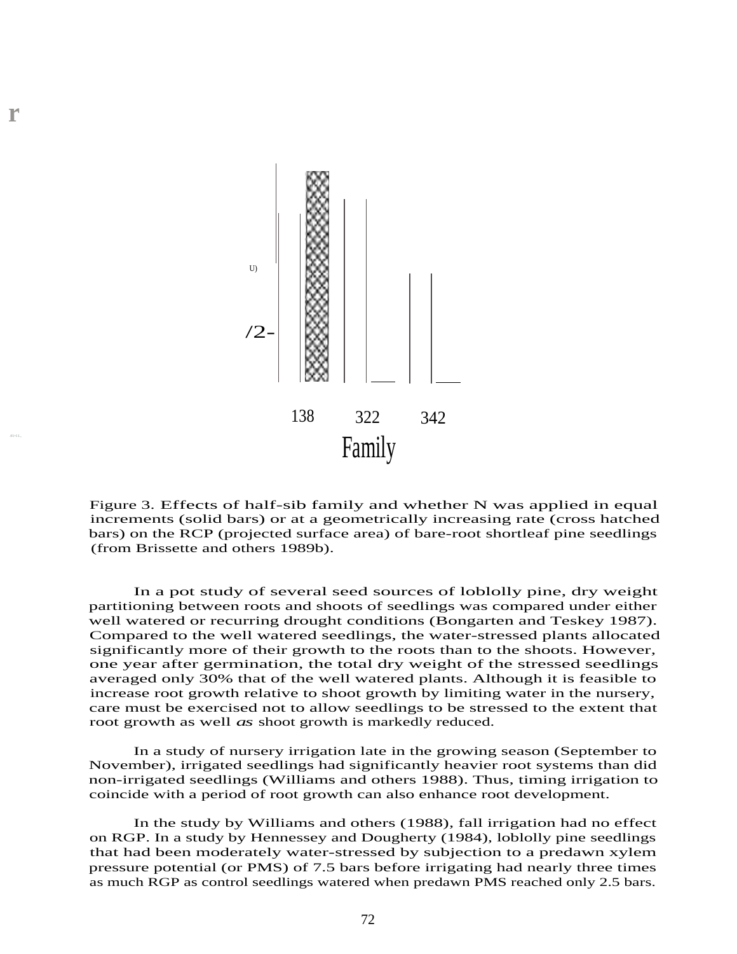

**r**

Figure 3. Effects of half-sib family and whether N was applied in equal increments (solid bars) or at a geometrically increasing rate (cross hatched bars) on the RCP (projected surface area) of bare-root shortleaf pine seedlings (from Brissette and others 1989b).

In a pot study of several seed sources of loblolly pine, dry weight partitioning between roots and shoots of seedlings was compared under either well watered or recurring drought conditions (Bongarten and Teskey 1987). Compared to the well watered seedlings, the water-stressed plants allocated significantly more of their growth to the roots than to the shoots. However, one year after germination, the total dry weight of the stressed seedlings averaged only 30% that of the well watered plants. Although it is feasible to increase root growth relative to shoot growth by limiting water in the nursery, care must be exercised not to allow seedlings to be stressed to the extent that root growth as well *as* shoot growth is markedly reduced.

In a study of nursery irrigation late in the growing season (September to November), irrigated seedlings had significantly heavier root systems than did non-irrigated seedlings (Williams and others 1988). Thus, timing irrigation to coincide with a period of root growth can also enhance root development.

In the study by Williams and others (1988), fall irrigation had no effect on RGP. In a study by Hennessey and Dougherty (1984), loblolly pine seedlings that had been moderately water-stressed by subjection to a predawn xylem pressure potential (or PMS) of 7.5 bars before irrigating had nearly three times as much RGP as control seedlings watered when predawn PMS reached only 2.5 bars.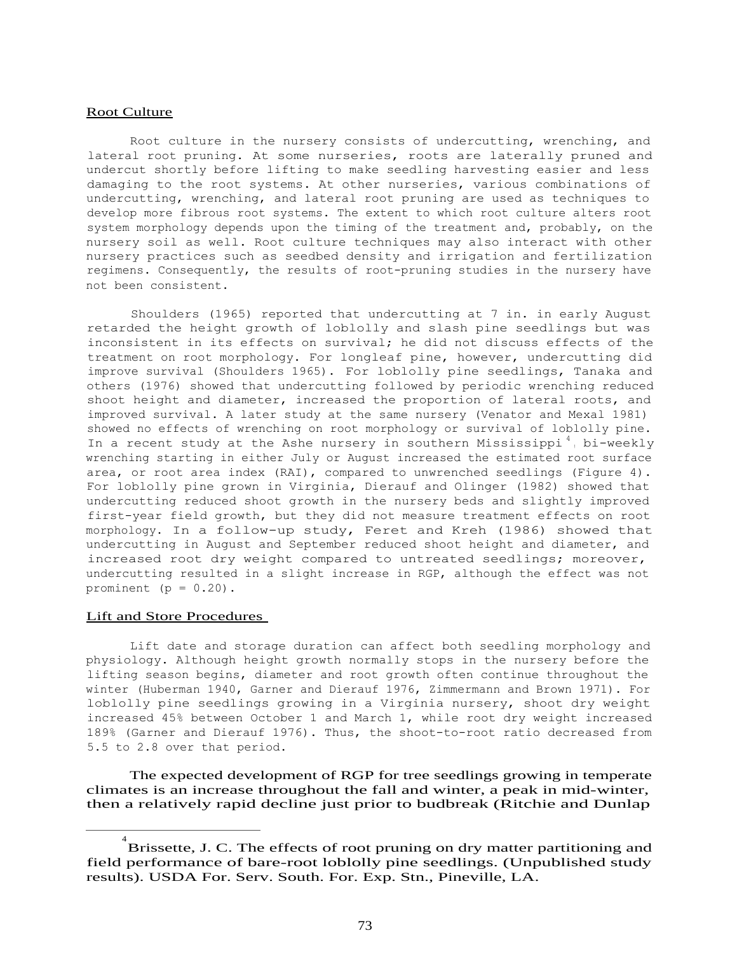## Root Culture

Root culture in the nursery consists of undercutting, wrenching, and lateral root pruning. At some nurseries, roots are laterally pruned and undercut shortly before lifting to make seedling harvesting easier and less damaging to the root systems. At other nurseries, various combinations of undercutting, wrenching, and lateral root pruning are used as techniques to develop more fibrous root systems. The extent to which root culture alters root system morphology depends upon the timing of the treatment and, probably, on the nursery soil as well. Root culture techniques may also interact with other nursery practices such as seedbed density and irrigation and fertilization regimens. Consequently, the results of root-pruning studies in the nursery have not been consistent.

Shoulders (1965) reported that undercutting at 7 in. in early August retarded the height growth of loblolly and slash pine seedlings but was inconsistent in its effects on survival; he did not discuss effects of the treatment on root morphology. For longleaf pine, however, undercutting did improve survival (Shoulders 1965). For loblolly pine seedlings, Tanaka and others (1976) showed that undercutting followed by periodic wrenching reduced shoot height and diameter, increased the proportion of lateral roots, and improved survival. A later study at the same nursery (Venator and Mexal 1981) showed no effects of wrenching on root morphology or survival of loblolly pine. In a recent study at the Ashe nursery in southern Mississippi<sup>4</sup>, bi-weekly wrenching starting in either July or August increased the estimated root surface area, or root area index (RAI), compared to unwrenched seedlings (Figure 4). For loblolly pine grown in Virginia, Dierauf and Olinger (1982) showed that undercutting reduced shoot growth in the nursery beds and slightly improved first-year field growth, but they did not measure treatment effects on root morphology. In a follow-up study, Feret and Kreh (1986) showed that undercutting in August and September reduced shoot height and diameter, and increased root dry weight compared to untreated seedlings; moreover, undercutting resulted in a slight increase in RGP, although the effect was not prominent  $(p = 0.20)$ .

## Lift and Store Procedures

Lift date and storage duration can affect both seedling morphology and physiology. Although height growth normally stops in the nursery before the lifting season begins, diameter and root growth often continue throughout the winter (Huberman 1940, Garner and Dierauf 1976, Zimmermann and Brown 1971). For loblolly pine seedlings growing in a Virginia nursery, shoot dry weight increased 45% between October 1 and March 1, while root dry weight increased 189% (Garner and Dierauf 1976). Thus, the shoot-to-root ratio decreased from 5.5 to 2.8 over that period.

The expected development of RGP for tree seedlings growing in temperate climates is an increase throughout the fall and winter, a peak in mid-winter, then a relatively rapid decline just prior to budbreak (Ritchie and Dunlap

<sup>4</sup> Brissette, J. C. The effects of root pruning on dry matter partitioning and field performance of bare-root loblolly pine seedlings. (Unpublished study results). USDA For. Serv. South. For. Exp. Stn., Pineville, LA.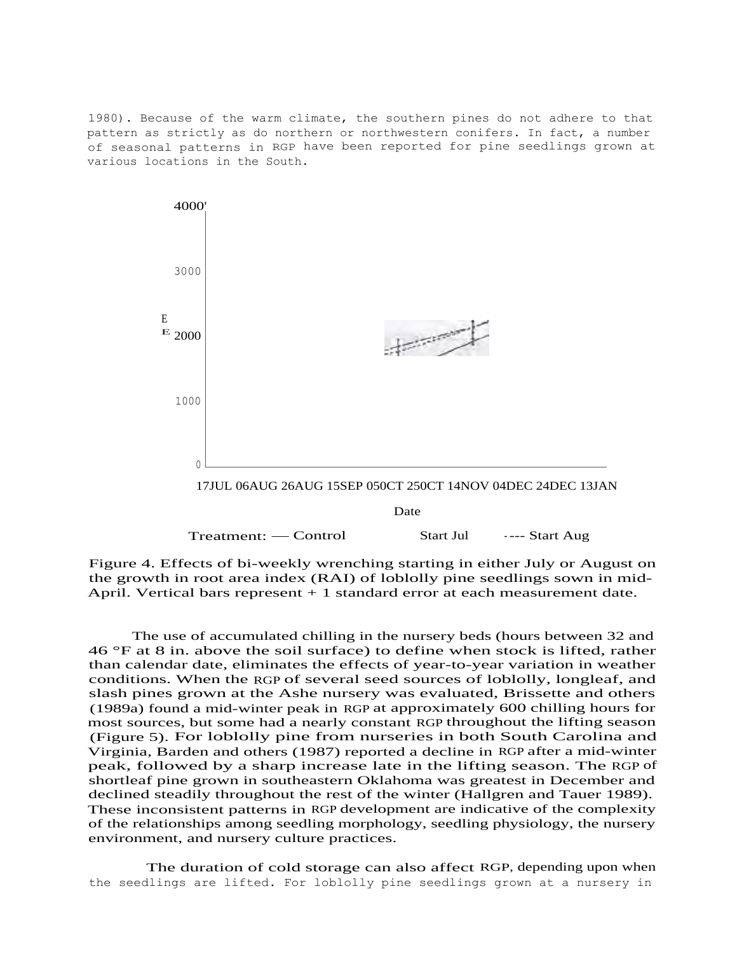1980). Because of the warm climate, the southern pines do not adhere to that pattern as strictly as do northern or northwestern conifers. In fact, a number of seasonal patterns in RGP have been reported for pine seedlings grown at various locations in the South.



Figure 4. Effects of bi-weekly wrenching starting in either July or August on the growth in root area index (RAI) of loblolly pine seedlings sown in mid-April. Vertical bars represent  $+1$  standard error at each measurement date.

The use of accumulated chilling in the nursery beds (hours between 32 and 46 °F at 8 in. above the soil surface) to define when stock is lifted, rather than calendar date, eliminates the effects of year-to-year variation in weather conditions. When the RGP of several seed sources of loblolly, longleaf, and slash pines grown at the Ashe nursery was evaluated, Brissette and others (1989a) found a mid-winter peak in RGP at approximately 600 chilling hours for most sources, but some had a nearly constant RGP throughout the lifting season (Figure 5). For loblolly pine from nurseries in both South Carolina and Virginia, Barden and others (1987) reported a decline in RGP after a mid-winter peak, followed by a sharp increase late in the lifting season. The RGP of shortleaf pine grown in southeastern Oklahoma was greatest in December and declined steadily throughout the rest of the winter (Hallgren and Tauer 1989). These inconsistent patterns in RGP development are indicative of the complexity of the relationships among seedling morphology, seedling physiology, the nursery environment, and nursery culture practices.

The duration of cold storage can also affect RGP, depending upon when the seedlings are lifted. For loblolly pine seedlings grown at a nursery in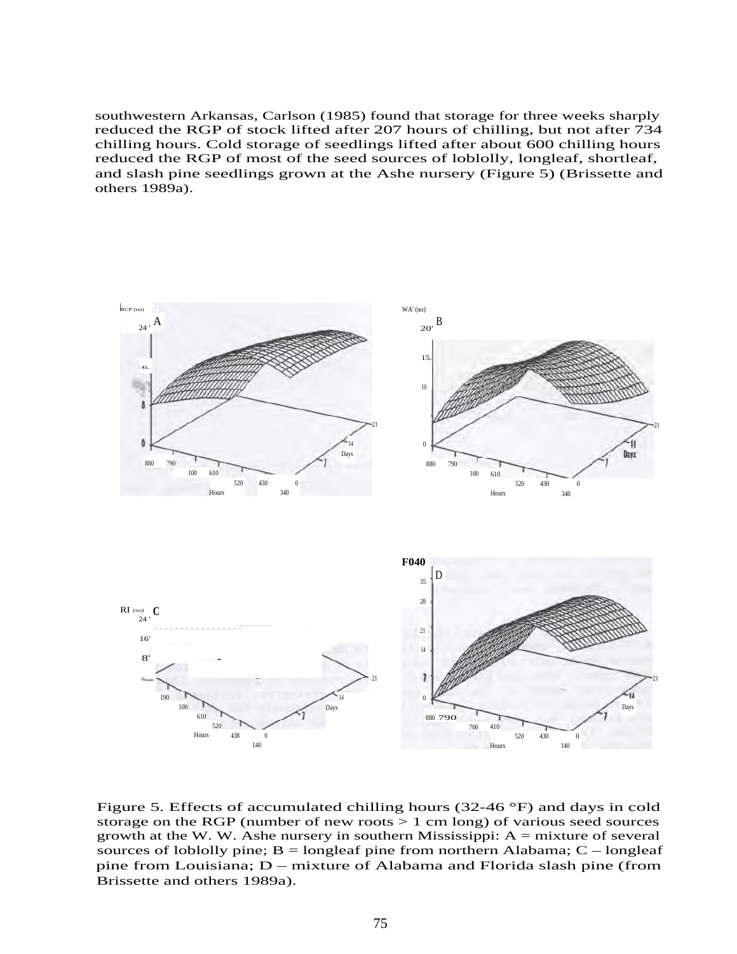southwestern Arkansas, Carlson (1985) found that storage for three weeks sharply reduced the RGP of stock lifted after 207 hours of chilling, but not after 734 chilling hours. Cold storage of seedlings lifted after about 600 chilling hours reduced the RGP of most of the seed sources of loblolly, longleaf, shortleaf, and slash pine seedlings grown at the Ashe nursery (Figure 5) (Brissette and others 1989a).



Figure 5. Effects of accumulated chilling hours (32-46 °F) and days in cold storage on the RGP (number of new roots > 1 cm long) of various seed sources growth at the W. W. Ashe nursery in southern Mississippi:  $A =$  mixture of several sources of loblolly pine;  $B =$ longleaf pine from northern Alabama;  $C -$ longleaf pine from Louisiana; D – mixture of Alabama and Florida slash pine (from Brissette and others 1989a).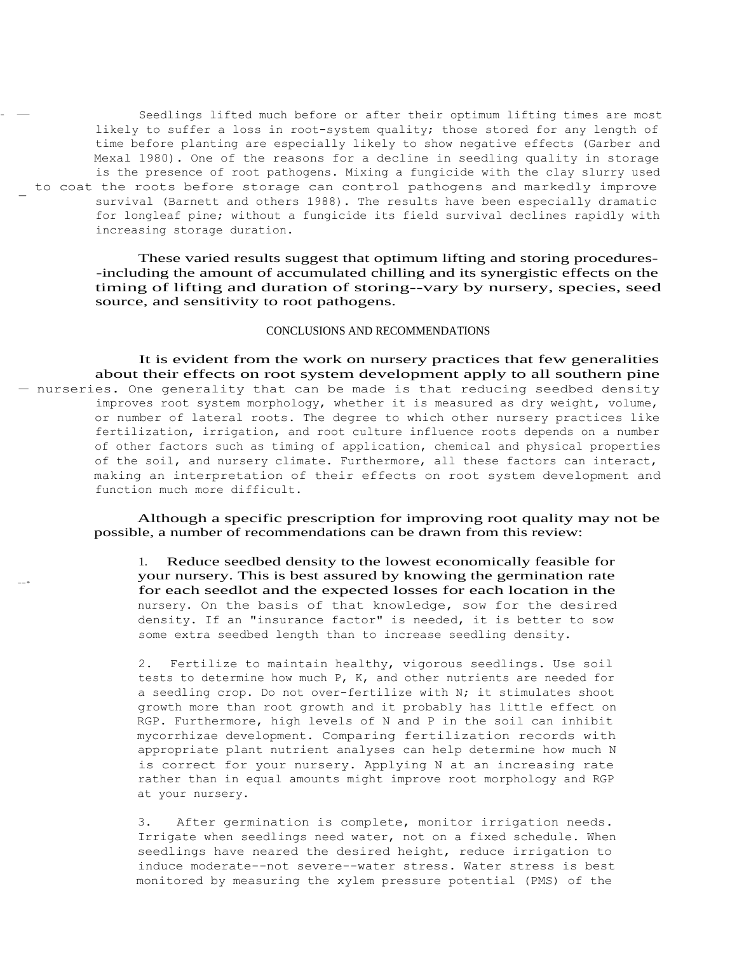Seedlings lifted much before or after their optimum lifting times are most likely to suffer a loss in root-system quality; those stored for any length of time before planting are especially likely to show negative effects (Garber and Mexal 1980). One of the reasons for a decline in seedling quality in storage is the presence of root pathogens. Mixing a fungicide with the clay slurry used to coat the roots before storage can control pathogens and markedly improve survival (Barnett and others 1988). The results have been especially dramatic for longleaf pine; without a fungicide its field survival declines rapidly with increasing storage duration.

> These varied results suggest that optimum lifting and storing procedures- -including the amount of accumulated chilling and its synergistic effects on the timing of lifting and duration of storing--vary by nursery, species, seed source, and sensitivity to root pathogens.

### CONCLUSIONS AND RECOMMENDATIONS

It is evident from the work on nursery practices that few generalities about their effects on root system development apply to all southern pine — nurseries. One generality that can be made is that reducing seedbed density improves root system morphology, whether it is measured as dry weight, volume, or number of lateral roots. The degree to which other nursery practices like fertilization, irrigation, and root culture influence roots depends on a number of other factors such as timing of application, chemical and physical properties of the soil, and nursery climate. Furthermore, all these factors can interact, making an interpretation of their effects on root system development and function much more difficult.

--•

Although a specific prescription for improving root quality may not be possible, a number of recommendations can be drawn from this review:

1. Reduce seedbed density to the lowest economically feasible for your nursery. This is best assured by knowing the germination rate for each seedlot and the expected losses for each location in the nursery. On the basis of that knowledge, sow for the desired density. If an "insurance factor" is needed, it is better to sow some extra seedbed length than to increase seedling density.

2. Fertilize to maintain healthy, vigorous seedlings. Use soil tests to determine how much P, K, and other nutrients are needed for a seedling crop. Do not over-fertilize with N; it stimulates shoot growth more than root growth and it probably has little effect on RGP. Furthermore, high levels of N and P in the soil can inhibit mycorrhizae development. Comparing fertilization records with appropriate plant nutrient analyses can help determine how much N is correct for your nursery. Applying N at an increasing rate rather than in equal amounts might improve root morphology and RGP at your nursery.

3. After germination is complete, monitor irrigation needs. Irrigate when seedlings need water, not on a fixed schedule. When seedlings have neared the desired height, reduce irrigation to induce moderate--not severe--water stress. Water stress is best monitored by measuring the xylem pressure potential (PMS) of the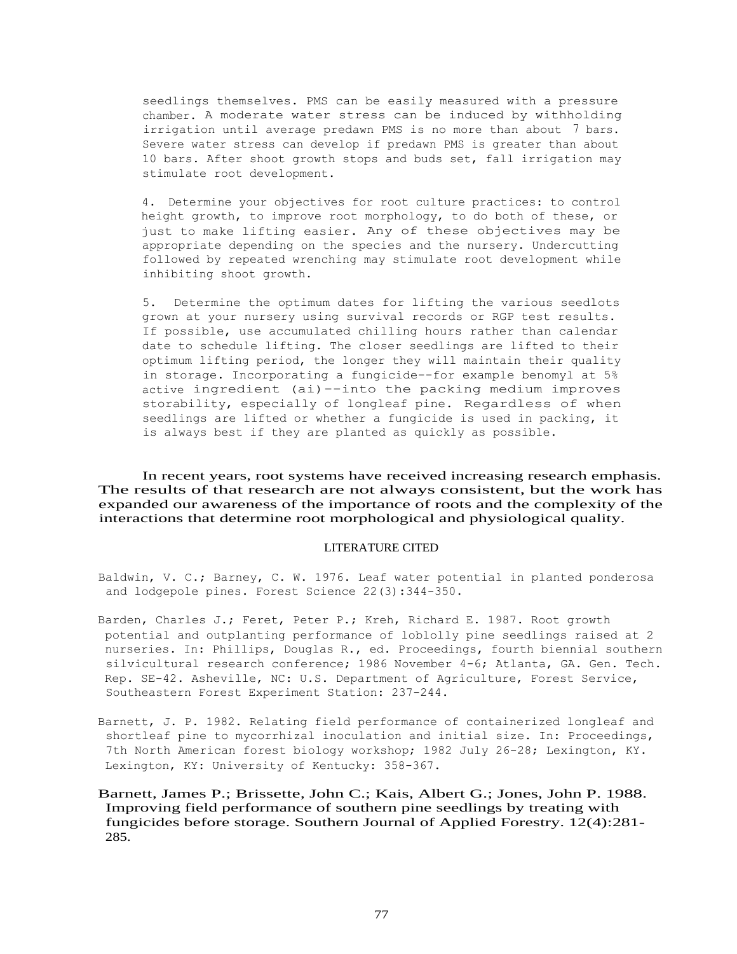seedlings themselves. PMS can be easily measured with a pressure chamber. A moderate water stress can be induced by withholding irrigation until average predawn PMS is no more than about 7 bars. Severe water stress can develop if predawn PMS is greater than about 10 bars. After shoot growth stops and buds set, fall irrigation may stimulate root development.

4. Determine your objectives for root culture practices: to control height growth, to improve root morphology, to do both of these, or just to make lifting easier. Any of these objectives may be appropriate depending on the species and the nursery. Undercutting followed by repeated wrenching may stimulate root development while inhibiting shoot growth.

5. Determine the optimum dates for lifting the various seedlots grown at your nursery using survival records or RGP test results. If possible, use accumulated chilling hours rather than calendar date to schedule lifting. The closer seedlings are lifted to their optimum lifting period, the longer they will maintain their quality in storage. Incorporating a fungicide--for example benomyl at 5% active ingredient (ai)--into the packing medium improves storability, especially of longleaf pine. Regardless of when seedlings are lifted or whether a fungicide is used in packing, it is always best if they are planted as quickly as possible.

In recent years, root systems have received increasing research emphasis. The results of that research are not always consistent, but the work has expanded our awareness of the importance of roots and the complexity of the interactions that determine root morphological and physiological quality.

### LITERATURE CITED

Baldwin, V. C.; Barney, C. W. 1976. Leaf water potential in planted ponderosa and lodgepole pines. Forest Science 22(3):344-350.

- Barden, Charles J.; Feret, Peter P.; Kreh, Richard E. 1987. Root growth potential and outplanting performance of loblolly pine seedlings raised at 2 nurseries. In: Phillips, Douglas R., ed. Proceedings, fourth biennial southern silvicultural research conference; 1986 November 4-6; Atlanta, GA. Gen. Tech. Rep. SE-42. Asheville, NC: U.S. Department of Agriculture, Forest Service, Southeastern Forest Experiment Station: 237-244.
- Barnett, J. P. 1982. Relating field performance of containerized longleaf and shortleaf pine to mycorrhizal inoculation and initial size. In: Proceedings, 7th North American forest biology workshop; 1982 July 26-28; Lexington, KY. Lexington, KY: University of Kentucky: 358-367.
- Barnett, James P.; Brissette, John C.; Kais, Albert G.; Jones, John P. 1988. Improving field performance of southern pine seedlings by treating with fungicides before storage. Southern Journal of Applied Forestry. 12(4):281- 285.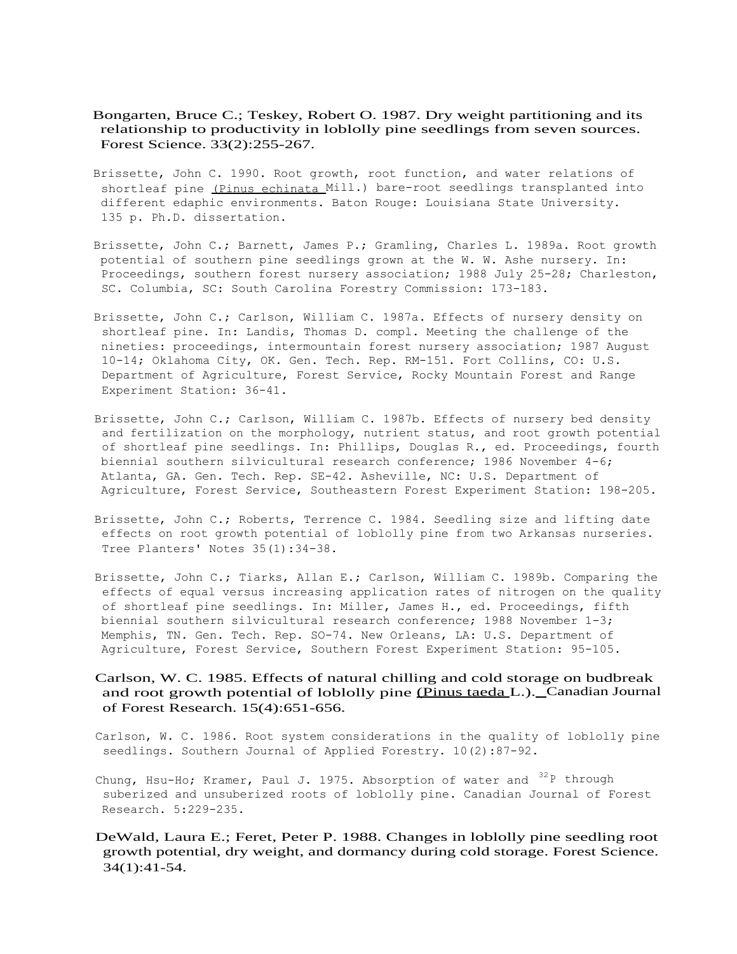- Bongarten, Bruce C.; Teskey, Robert O. 1987. Dry weight partitioning and its relationship to productivity in loblolly pine seedlings from seven sources. Forest Science. 33(2):255-267.
- Brissette, John C. 1990. Root growth, root function, and water relations of shortleaf pine (Pinus echinata Mill.) bare-root seedlings transplanted into different edaphic environments. Baton Rouge: Louisiana State University. 135 p. Ph.D. dissertation.
- Brissette, John C.; Barnett, James P.; Gramling, Charles L. 1989a. Root growth potential of southern pine seedlings grown at the W. W. Ashe nursery. In: Proceedings, southern forest nursery association; 1988 July 25-28; Charleston, SC. Columbia, SC: South Carolina Forestry Commission: 173-183.
- Brissette, John C.; Carlson, William C. 1987a. Effects of nursery density on shortleaf pine. In: Landis, Thomas D. compl. Meeting the challenge of the nineties: proceedings, intermountain forest nursery association; 1987 August 10-14; Oklahoma City, OK. Gen. Tech. Rep. RM-151. Fort Collins, CO: U.S. Department of Agriculture, Forest Service, Rocky Mountain Forest and Range Experiment Station: 36-41.
- Brissette, John C.; Carlson, William C. 1987b. Effects of nursery bed density and fertilization on the morphology, nutrient status, and root growth potential of shortleaf pine seedlings. In: Phillips, Douglas R., ed. Proceedings, fourth biennial southern silvicultural research conference; 1986 November 4-6; Atlanta, GA. Gen. Tech. Rep. SE-42. Asheville, NC: U.S. Department of Agriculture, Forest Service, Southeastern Forest Experiment Station: 198-205.
- Brissette, John C.; Roberts, Terrence C. 1984. Seedling size and lifting date effects on root growth potential of loblolly pine from two Arkansas nurseries. Tree Planters' Notes 35(1):34-38.
- Brissette, John C.; Tiarks, Allan E.; Carlson, William C. 1989b. Comparing the effects of equal versus increasing application rates of nitrogen on the quality of shortleaf pine seedlings. In: Miller, James H., ed. Proceedings, fifth biennial southern silvicultural research conference; 1988 November 1-3; Memphis, TN. Gen. Tech. Rep. SO-74. New Orleans, LA: U.S. Department of Agriculture, Forest Service, Southern Forest Experiment Station: 95-105.

# Carlson, W. C. 1985. Effects of natural chilling and cold storage on budbreak and root growth potential of loblolly pine (Pinus taeda L.). Canadian Journal of Forest Research. 15(4):651-656.

- Carlson, W. C. 1986. Root system considerations in the quality of loblolly pine seedlings. Southern Journal of Applied Forestry. 10(2):87-92.
- Chung, Hsu-Ho; Kramer, Paul J. 1975. Absorption of water and  $32P$  through suberized and unsuberized roots of loblolly pine. Canadian Journal of Forest Research. 5:229-235.
- DeWald, Laura E.; Feret, Peter P. 1988. Changes in loblolly pine seedling root growth potential, dry weight, and dormancy during cold storage. Forest Science. 34(1):41-54.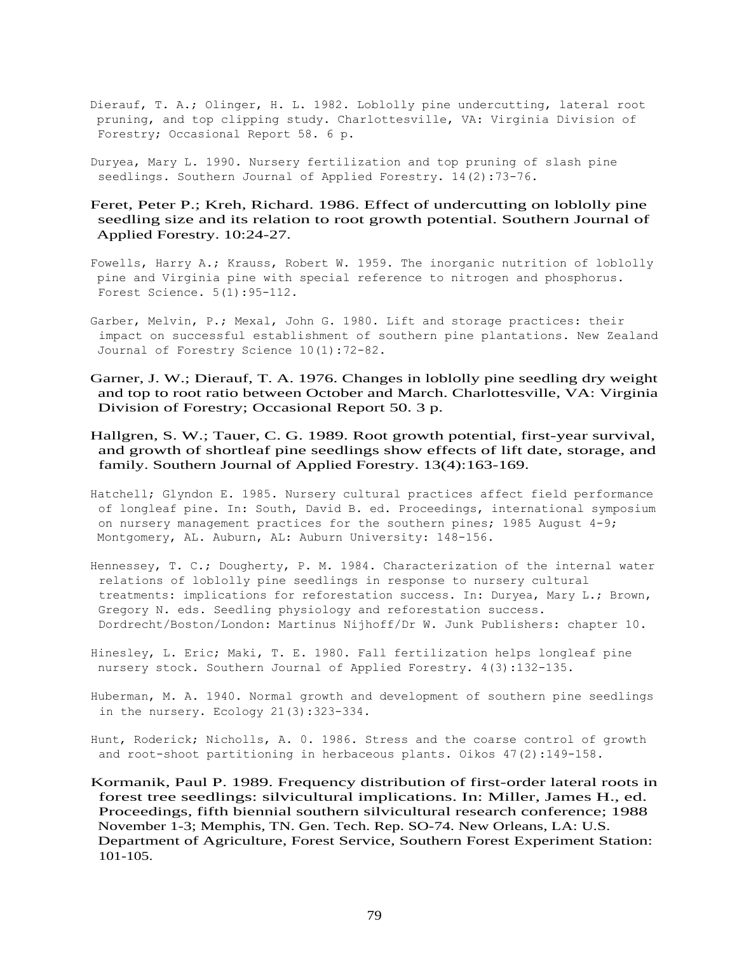- Dierauf, T. A.; Olinger, H. L. 1982. Loblolly pine undercutting, lateral root pruning, and top clipping study. Charlottesville, VA: Virginia Division of Forestry; Occasional Report 58. 6 p.
- Duryea, Mary L. 1990. Nursery fertilization and top pruning of slash pine seedlings. Southern Journal of Applied Forestry. 14(2):73-76.

# Feret, Peter P.; Kreh, Richard. 1986. Effect of undercutting on loblolly pine seedling size and its relation to root growth potential. Southern Journal of Applied Forestry. 10:24-27.

- Fowells, Harry A.; Krauss, Robert W. 1959. The inorganic nutrition of loblolly pine and Virginia pine with special reference to nitrogen and phosphorus. Forest Science. 5(1):95-112.
- Garber, Melvin, P.; Mexal, John G. 1980. Lift and storage practices: their impact on successful establishment of southern pine plantations. New Zealand Journal of Forestry Science 10(1):72-82.
- Garner, J. W.; Dierauf, T. A. 1976. Changes in loblolly pine seedling dry weight and top to root ratio between October and March. Charlottesville, VA: Virginia Division of Forestry; Occasional Report 50. 3 p.
- Hallgren, S. W.; Tauer, C. G. 1989. Root growth potential, first-year survival, and growth of shortleaf pine seedlings show effects of lift date, storage, and family. Southern Journal of Applied Forestry. 13(4):163-169.
- Hatchell; Glyndon E. 1985. Nursery cultural practices affect field performance of longleaf pine. In: South, David B. ed. Proceedings, international symposium on nursery management practices for the southern pines; 1985 August 4-9; Montgomery, AL. Auburn, AL: Auburn University: 148-156.
- Hennessey, T. C.; Dougherty, P. M. 1984. Characterization of the internal water relations of loblolly pine seedlings in response to nursery cultural treatments: implications for reforestation success. In: Duryea, Mary L.; Brown, Gregory N. eds. Seedling physiology and reforestation success. Dordrecht/Boston/London: Martinus Nijhoff/Dr W. Junk Publishers: chapter 10.
- Hinesley, L. Eric; Maki, T. E. 1980. Fall fertilization helps longleaf pine nursery stock. Southern Journal of Applied Forestry. 4(3):132-135.
- Huberman, M. A. 1940. Normal growth and development of southern pine seedlings in the nursery. Ecology 21(3):323-334.
- Hunt, Roderick; Nicholls, A. 0. 1986. Stress and the coarse control of growth and root-shoot partitioning in herbaceous plants. Oikos 47(2):149-158.
- Kormanik, Paul P. 1989. Frequency distribution of first-order lateral roots in forest tree seedlings: silvicultural implications. In: Miller, James H., ed. Proceedings, fifth biennial southern silvicultural research conference; 1988 November 1-3; Memphis, TN. Gen. Tech. Rep. SO-74. New Orleans, LA: U.S. Department of Agriculture, Forest Service, Southern Forest Experiment Station: 101-105.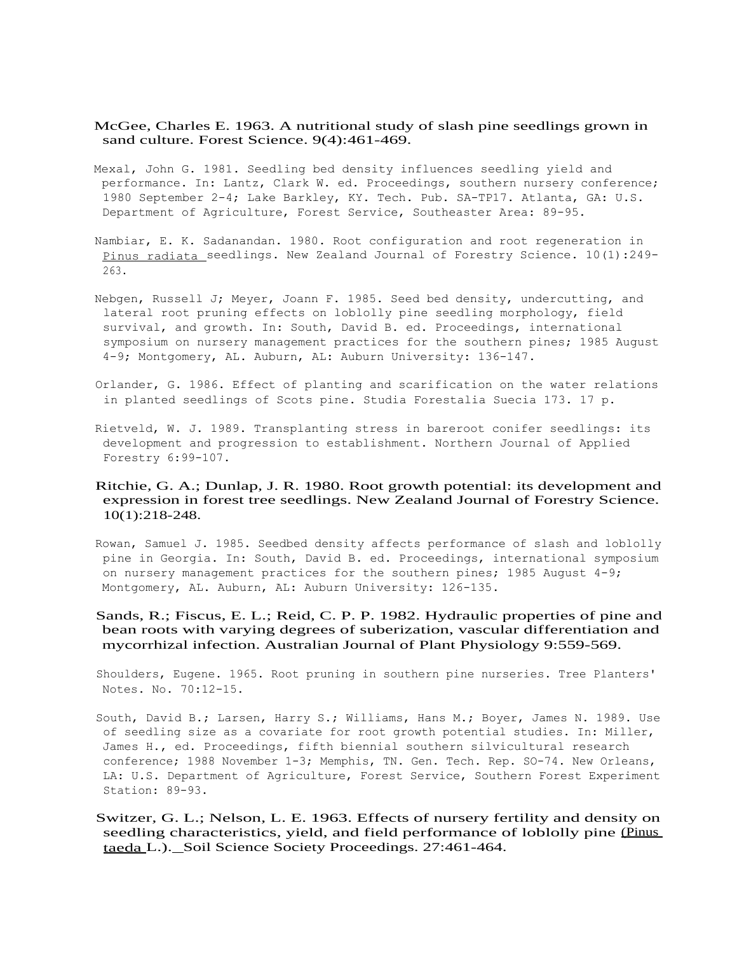- McGee, Charles E. 1963. A nutritional study of slash pine seedlings grown in sand culture. Forest Science. 9(4):461-469.
- Mexal, John G. 1981. Seedling bed density influences seedling yield and performance. In: Lantz, Clark W. ed. Proceedings, southern nursery conference; 1980 September 2-4; Lake Barkley, KY. Tech. Pub. SA-TP17. Atlanta, GA: U.S. Department of Agriculture, Forest Service, Southeaster Area: 89-95.
- Nambiar, E. K. Sadanandan. 1980. Root configuration and root regeneration in Pinus radiata seedlings. New Zealand Journal of Forestry Science. 10(1):249- 263.
- Nebgen, Russell J; Meyer, Joann F. 1985. Seed bed density, undercutting, and lateral root pruning effects on loblolly pine seedling morphology, field survival, and growth. In: South, David B. ed. Proceedings, international symposium on nursery management practices for the southern pines; 1985 August 4-9; Montgomery, AL. Auburn, AL: Auburn University: 136-147.
- Orlander, G. 1986. Effect of planting and scarification on the water relations in planted seedlings of Scots pine. Studia Forestalia Suecia 173. 17 p.
- Rietveld, W. J. 1989. Transplanting stress in bareroot conifer seedlings: its development and progression to establishment. Northern Journal of Applied Forestry 6:99-107.
- Ritchie, G. A.; Dunlap, J. R. 1980. Root growth potential: its development and expression in forest tree seedlings. New Zealand Journal of Forestry Science. 10(1):218-248.
- Rowan, Samuel J. 1985. Seedbed density affects performance of slash and loblolly pine in Georgia. In: South, David B. ed. Proceedings, international symposium on nursery management practices for the southern pines; 1985 August  $4-9$ ; Montgomery, AL. Auburn, AL: Auburn University: 126-135.
- Sands, R.; Fiscus, E. L.; Reid, C. P. P. 1982. Hydraulic properties of pine and bean roots with varying degrees of suberization, vascular differentiation and mycorrhizal infection. Australian Journal of Plant Physiology 9:559-569.

Shoulders, Eugene. 1965. Root pruning in southern pine nurseries. Tree Planters' Notes. No. 70:12-15.

- South, David B.; Larsen, Harry S.; Williams, Hans M.; Boyer, James N. 1989. Use of seedling size as a covariate for root growth potential studies. In: Miller, James H., ed. Proceedings, fifth biennial southern silvicultural research conference; 1988 November 1-3; Memphis, TN. Gen. Tech. Rep. SO-74. New Orleans, LA: U.S. Department of Agriculture, Forest Service, Southern Forest Experiment Station: 89-93.
- Switzer, G. L.; Nelson, L. E. 1963. Effects of nursery fertility and density on seedling characteristics, yield, and field performance of loblolly pine (Pinus taeda L.). Soil Science Society Proceedings. 27:461-464.